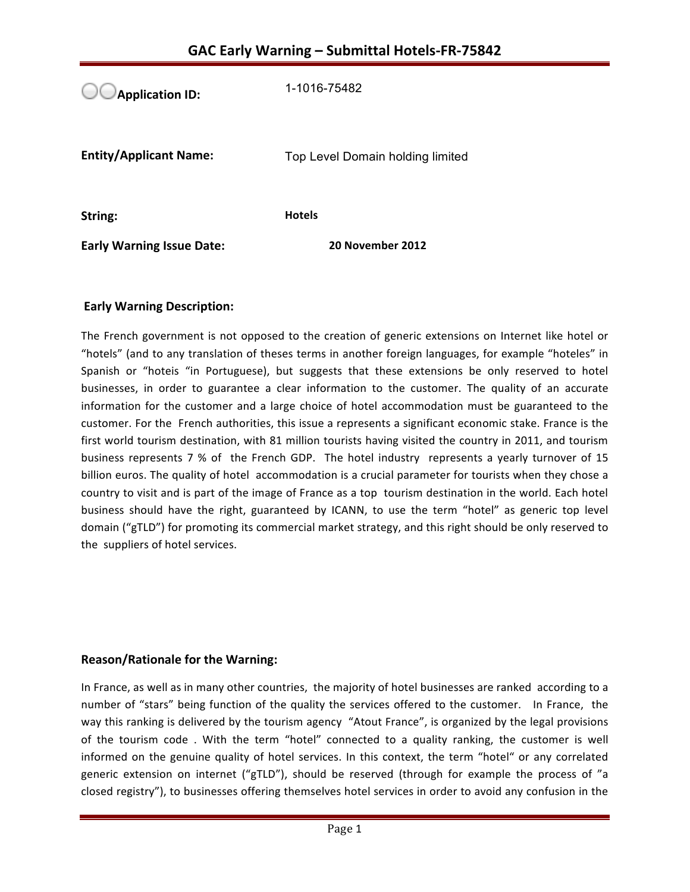**Application ID:** 1-1016-75482 **Entity/Applicant Name:** Top Level Domain holding limited **String: Hotels Early Warning Issue Date:** 20 November 2012

## **Early Warning Description:**

The French government is not opposed to the creation of generic extensions on Internet like hotel or "hotels" (and to any translation of theses terms in another foreign languages, for example "hoteles" in Spanish or "hoteis "in Portuguese), but suggests that these extensions be only reserved to hotel businesses, in order to guarantee a clear information to the customer. The quality of an accurate information for the customer and a large choice of hotel accommodation must be guaranteed to the customer. For the French authorities, this issue a represents a significant economic stake. France is the first world tourism destination, with 81 million tourists having visited the country in 2011, and tourism business represents 7 % of the French GDP. The hotel industry represents a yearly turnover of 15 billion euros. The quality of hotel accommodation is a crucial parameter for tourists when they chose a country to visit and is part of the image of France as a top tourism destination in the world. Each hotel business should have the right, guaranteed by ICANN, to use the term "hotel" as generic top level domain ("gTLD") for promoting its commercial market strategy, and this right should be only reserved to the suppliers of hotel services.

### **Reason/Rationale for the Warning:**

In France, as well as in many other countries, the majority of hotel businesses are ranked according to a number of "stars" being function of the quality the services offered to the customer. In France, the way this ranking is delivered by the tourism agency "Atout France", is organized by the legal provisions of the tourism code. With the term "hotel" connected to a quality ranking, the customer is well informed on the genuine quality of hotel services. In this context, the term "hotel" or any correlated generic extension on internet ("gTLD"), should be reserved (through for example the process of "a closed registry"), to businesses offering themselves hotel services in order to avoid any confusion in the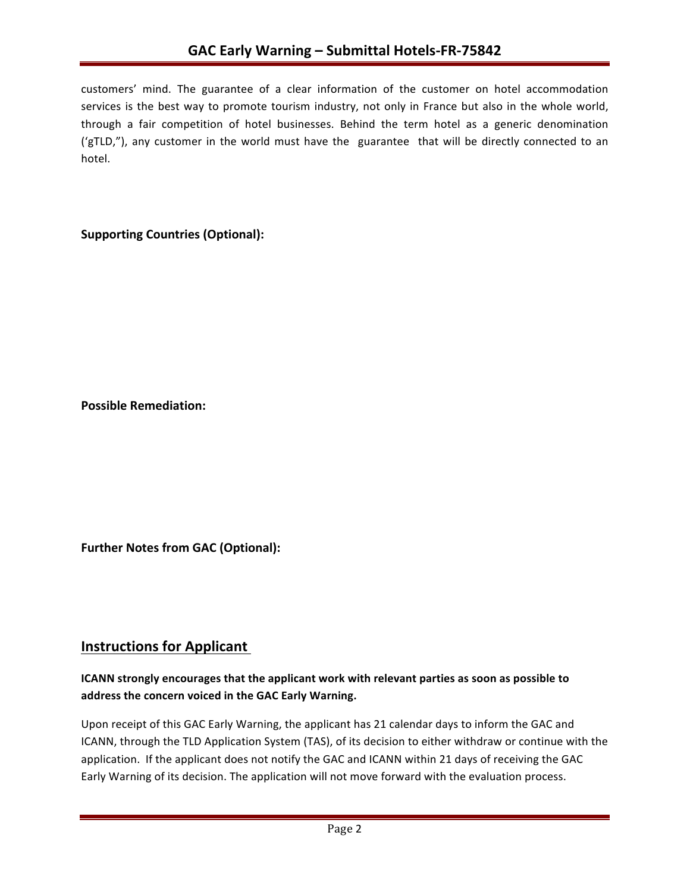customers' mind. The guarantee of a clear information of the customer on hotel accommodation services is the best way to promote tourism industry, not only in France but also in the whole world, through a fair competition of hotel businesses. Behind the term hotel as a generic denomination ('gTLD,"), any customer in the world must have the guarantee that will be directly connected to an hotel. 

## **Supporting Countries (Optional):**

**Possible Remediation:**

**Further Notes from GAC (Optional):** 

## **Instructions for Applicant**

## **ICANN** strongly encourages that the applicant work with relevant parties as soon as possible to address the concern voiced in the GAC Early Warning.

Upon receipt of this GAC Early Warning, the applicant has 21 calendar days to inform the GAC and ICANN, through the TLD Application System (TAS), of its decision to either withdraw or continue with the application. If the applicant does not notify the GAC and ICANN within 21 days of receiving the GAC Early Warning of its decision. The application will not move forward with the evaluation process.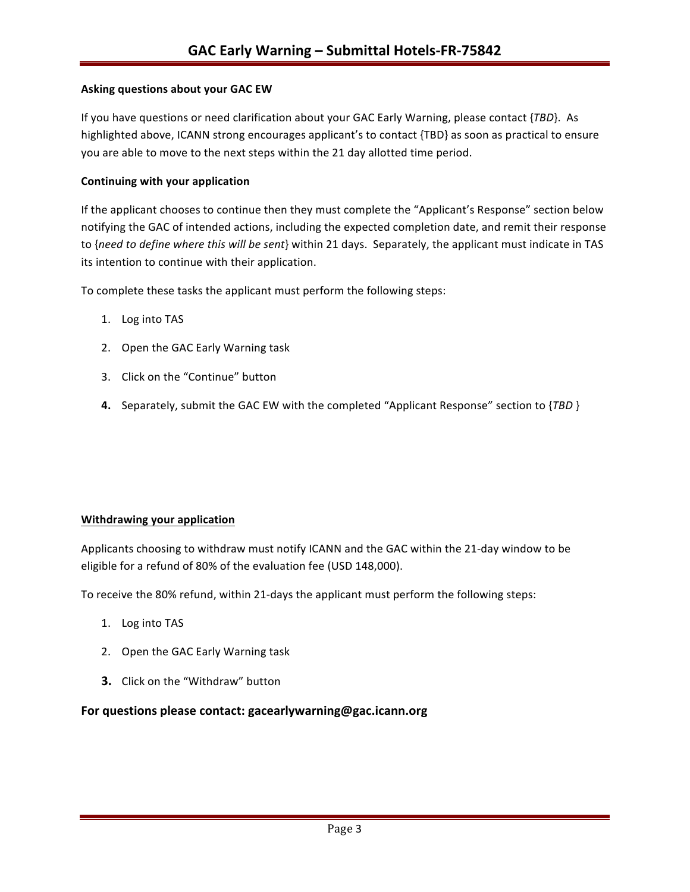#### **Asking questions about your GAC EW**

If you have questions or need clarification about your GAC Early Warning, please contact {*TBD*}. As highlighted above, ICANN strong encourages applicant's to contact {TBD} as soon as practical to ensure you are able to move to the next steps within the 21 day allotted time period.

#### **Continuing with your application**

If the applicant chooses to continue then they must complete the "Applicant's Response" section below notifying the GAC of intended actions, including the expected completion date, and remit their response to {need to define where this will be sent} within 21 days. Separately, the applicant must indicate in TAS its intention to continue with their application.

To complete these tasks the applicant must perform the following steps:

- 1. Log into TAS
- 2. Open the GAC Early Warning task
- 3. Click on the "Continue" button
- **4.** Separately, submit the GAC EW with the completed "Applicant Response" section to {*TBD* }

#### **Withdrawing your application**

Applicants choosing to withdraw must notify ICANN and the GAC within the 21-day window to be eligible for a refund of 80% of the evaluation fee (USD 148,000).

To receive the 80% refund, within 21-days the applicant must perform the following steps:

- 1. Log into TAS
- 2. Open the GAC Early Warning task
- **3.** Click on the "Withdraw" button

#### For questions please contact: gacearlywarning@gac.icann.org